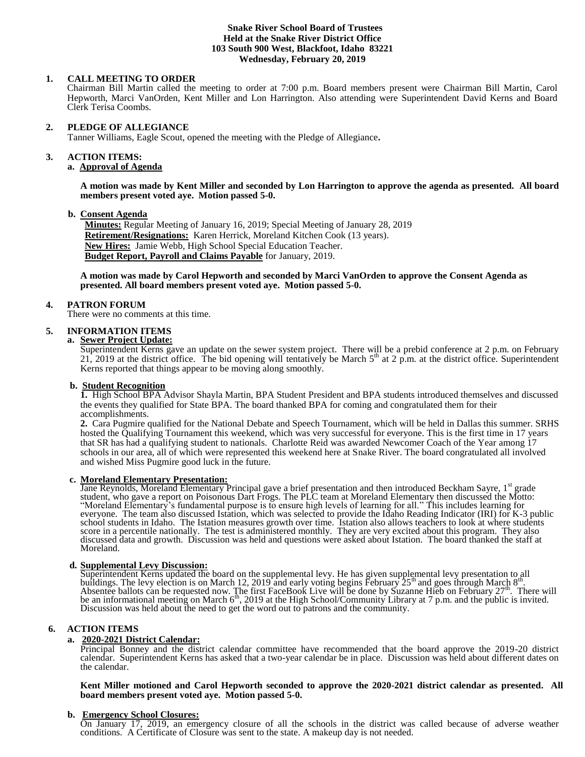#### **Snake River School Board of Trustees Held at the Snake River District Office 103 South 900 West, Blackfoot, Idaho 83221 Wednesday, February 20, 2019**

## **1. CALL MEETING TO ORDER**

Chairman Bill Martin called the meeting to order at 7:00 p.m. Board members present were Chairman Bill Martin, Carol Hepworth, Marci VanOrden, Kent Miller and Lon Harrington. Also attending were Superintendent David Kerns and Board Clerk Terisa Coombs.

#### **2. PLEDGE OF ALLEGIANCE**

Tanner Williams, Eagle Scout, opened the meeting with the Pledge of Allegiance**.** 

# **3. ACTION ITEMS:**

# **a. Approval of Agenda**

**A motion was made by Kent Miller and seconded by Lon Harrington to approve the agenda as presented. All board members present voted aye. Motion passed 5-0.**

#### **b. Consent Agenda**

**Minutes:** Regular Meeting of January 16, 2019; Special Meeting of January 28, 2019 **Retirement/Resignations:** Karen Herrick, Moreland Kitchen Cook (13 years). **New Hires:** Jamie Webb, High School Special Education Teacher. **Budget Report, Payroll and Claims Payable** for January, 2019.

**A motion was made by Carol Hepworth and seconded by Marci VanOrden to approve the Consent Agenda as presented. All board members present voted aye. Motion passed 5-0.** 

## **4. PATRON FORUM**

There were no comments at this time.

## **5. INFORMATION ITEMS**

**a. Sewer Project Update:**

Superintendent Kerns gave an update on the sewer system project. There will be a prebid conference at 2 p.m. on February 21, 2019 at the district office. The bid opening will tentatively be March  $5<sup>th</sup>$  at 2 p.m. at the district office. Superintendent Kerns reported that things appear to be moving along smoothly.

#### **b. Student Recognition**

**1.** High School BPA Advisor Shayla Martin, BPA Student President and BPA students introduced themselves and discussed the events they qualified for State BPA. The board thanked BPA for coming and congratulated them for their accomplishments.

**2.** Cara Pugmire qualified for the National Debate and Speech Tournament, which will be held in Dallas this summer. SRHS hosted the Qualifying Tournament this weekend, which was very successful for everyone. This is the first time in 17 years that SR has had a qualifying student to nationals. Charlotte Reid was awarded Newcomer Coach of the Year among 17 schools in our area, all of which were represented this weekend here at Snake River. The board congratulated all involved and wished Miss Pugmire good luck in the future.

**c. Moreland Elementary Presentation:**<br>Jane Reynolds, Moreland Elementary Principal gave a brief presentation and then introduced Beckham Sayre, 1<sup>st</sup> grade student, who gave a report on Poisonous Dart Frogs. The PLC team at Moreland Elementary then discussed the Motto: "Moreland Elementary's fundamental purpose is to ensure high levels of learning for all." This includes learning for everyone. The team also discussed Istation, which was selected to provide the Idaho Reading Indicator (IRI) for K-3 public school students in Idaho. The Istation measures growth over time. Istation also allows teachers to look at where students score in a percentile nationally. The test is administered monthly. They are very excited about this program. They also discussed data and growth. Discussion was held and questions were asked about Istation. The board thanked the staff at Moreland.

#### **d. Supplemental Levy Discussion:**

Superintendent Kerns updated the board on the supplemental levy. He has given supplemental levy presentation to all<br>buildings. The levy election is on March 12, 2019 and early voting begins February 25<sup>th</sup> and goes throug be an informational meeting on March  $6<sup>th</sup>$ , 2019 at the High School/Community Library at 7 p.m. and the public is invited. Discussion was held about the need to get the word out to patrons and the community.

## **6. ACTION ITEMS**

## **a. 2020-2021 District Calendar:**

Principal Bonney and the district calendar committee have recommended that the board approve the 2019-20 district calendar. Superintendent Kerns has asked that a two-year calendar be in place. Discussion was held about different dates on the calendar.

**Kent Miller motioned and Carol Hepworth seconded to approve the 2020-2021 district calendar as presented. All board members present voted aye. Motion passed 5-0.** 

#### **b. Emergency School Closures:**

On January 17, 2019, an emergency closure of all the schools in the district was called because of adverse weather conditions. A Certificate of Closure was sent to the state. A makeup day is not needed.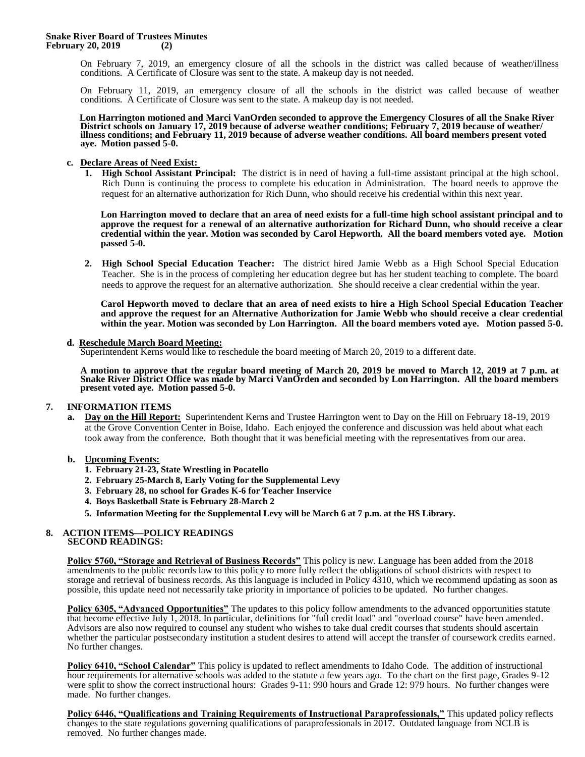On February 7, 2019, an emergency closure of all the schools in the district was called because of weather/illness conditions. A Certificate of Closure was sent to the state. A makeup day is not needed.

On February 11, 2019, an emergency closure of all the schools in the district was called because of weather conditions. A Certificate of Closure was sent to the state. A makeup day is not needed.

 **Lon Harrington motioned and Marci VanOrden seconded to approve the Emergency Closures of all the Snake River District schools on January 17, 2019 because of adverse weather conditions; February 7, 2019 because of weather/ illness conditions; and February 11, 2019 because of adverse weather conditions. All board members present voted aye. Motion passed 5-0.** 

#### **c. Declare Areas of Need Exist:**

**1. High School Assistant Principal:** The district is in need of having a full-time assistant principal at the high school. Rich Dunn is continuing the process to complete his education in Administration. The board needs to approve the request for an alternative authorization for Rich Dunn, who should receive his credential within this next year.

**Lon Harrington moved to declare that an area of need exists for a full-time high school assistant principal and to approve the request for a renewal of an alternative authorization for Richard Dunn, who should receive a clear credential within the year. Motion was seconded by Carol Hepworth. All the board members voted aye. Motion passed 5-0.**

**2. High School Special Education Teacher:** The district hired Jamie Webb as a High School Special Education Teacher. She is in the process of completing her education degree but has her student teaching to complete. The board needs to approve the request for an alternative authorization. She should receive a clear credential within the year.

**Carol Hepworth moved to declare that an area of need exists to hire a High School Special Education Teacher and approve the request for an Alternative Authorization for Jamie Webb who should receive a clear credential within the year. Motion was seconded by Lon Harrington. All the board members voted aye. Motion passed 5-0.**

## **d. Reschedule March Board Meeting:**

Superintendent Kerns would like to reschedule the board meeting of March 20, 2019 to a different date.

**A motion to approve that the regular board meeting of March 20, 2019 be moved to March 12, 2019 at 7 p.m. at Snake River District Office was made by Marci VanOrden and seconded by Lon Harrington. All the board members present voted aye. Motion passed 5-0.**

## **7. INFORMATION ITEMS**

**a. Day on the Hill Report:** Superintendent Kerns and Trustee Harrington went to Day on the Hill on February 18-19, 2019 at the Grove Convention Center in Boise, Idaho. Each enjoyed the conference and discussion was held about what each took away from the conference. Both thought that it was beneficial meeting with the representatives from our area.

## **b. Upcoming Events:**

- **1. February 21-23, State Wrestling in Pocatello**
- **2. February 25-March 8, Early Voting for the Supplemental Levy**
- **3. February 28, no school for Grades K-6 for Teacher Inservice**
- **4. Boys Basketball State is February 28-March 2**
- **5. Information Meeting for the Supplemental Levy will be March 6 at 7 p.m. at the HS Library.**

#### **8. ACTION ITEMS—POLICY READINGS SECOND READINGS:**

**Policy 5760, "Storage and Retrieval of Business Records"** This policy is new. Language has been added from the 2018 amendments to the public records law to this policy to more fully reflect the obligations of school districts with respect to storage and retrieval of business records. As this language is included in Policy 4310, which we recommend updating as soon as possible, this update need not necessarily take priority in importance of policies to be updated. No further changes.

**Policy 6305, "Advanced Opportunities"** The updates to this policy follow amendments to the advanced opportunities statute that become effective July 1, 2018. In particular, definitions for "full credit load" and "overload course" have been amended. Advisors are also now required to counsel any student who wishes to take dual credit courses that students should ascertain whether the particular postsecondary institution a student desires to attend will accept the transfer of coursework credits earned. No further changes.

**Policy 6410, "School Calendar"** This policy is updated to reflect amendments to Idaho Code. The addition of instructional hour requirements for alternative schools was added to the statute a few years ago. To the chart on the first page, Grades 9-12 were split to show the correct instructional hours: Grades 9-11: 990 hours and Grade 12: 979 hours. No further changes were made. No further changes.

**Policy 6446, "Qualifications and Training Requirements of Instructional Paraprofessionals,"** This updated policy reflects changes to the state regulations governing qualifications of paraprofessionals in 2017. Outdated language from NCLB is removed. No further changes made.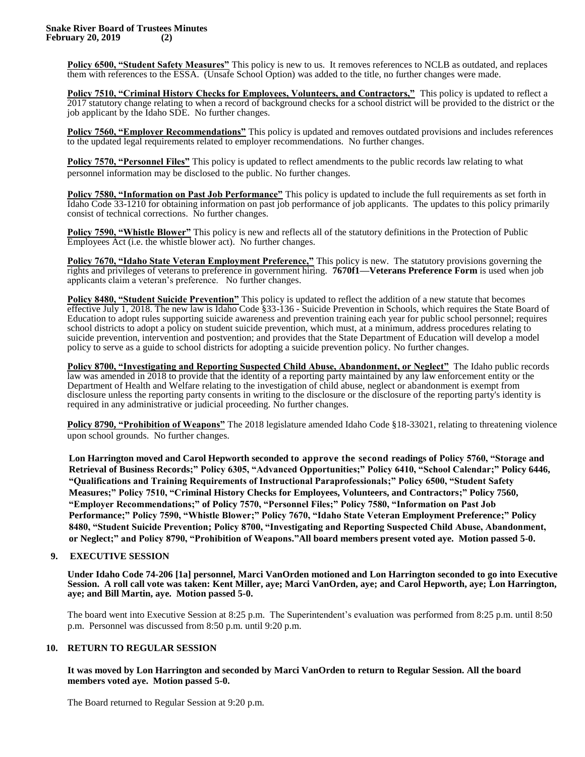**Policy 6500, "Student Safety Measures"** This policy is new to us. It removes references to NCLB as outdated, and replaces them with references to the ESSA. (Unsafe School Option) was added to the title, no further changes were made.

**Policy 7510, "Criminal History Checks for Employees, Volunteers, and Contractors,"** This policy is updated to reflect a 2017 statutory change relating to when a record of background checks for a school district will be provided to the district or the job applicant by the Idaho SDE. No further changes.

**Policy 7560, "Employer Recommendations"** This policy is updated and removes outdated provisions and includes references to the updated legal requirements related to employer recommendations. No further changes.

**Policy 7570, "Personnel Files"** This policy is updated to reflect amendments to the public records law relating to what personnel information may be disclosed to the public. No further changes.

**Policy 7580, "Information on Past Job Performance"** This policy is updated to include the full requirements as set forth in Idaho Code 33-1210 for obtaining information on past job performance of job applicants. The updates to this policy primarily consist of technical corrections. No further changes.

**Policy 7590, "Whistle Blower"** This policy is new and reflects all of the statutory definitions in the Protection of Public Employees Act (i.e. the whistle blower act). No further changes.

**Policy 7670, "Idaho State Veteran Employment Preference,"** This policy is new. The statutory provisions governing the rights and privileges of veterans to preference in government hiring. **7670f1—Veterans Preference Form** is used when job applicants claim a veteran's preference. No further changes.

**Policy 8480, "Student Suicide Prevention"** This policy is updated to reflect the addition of a new statute that becomes effective July 1, 2018. The new law is Idaho Code §33-136 - Suicide Prevention in Schools, which requires the State Board of Education to adopt rules supporting suicide awareness and prevention training each year for public school personnel; requires school districts to adopt a policy on student suicide prevention, which must, at a minimum, address procedures relating to suicide prevention, intervention and postvention; and provides that the State Department of Education will develop a model policy to serve as a guide to school districts for adopting a suicide prevention policy. No further changes.

**Policy 8700, "Investigating and Reporting Suspected Child Abuse, Abandonment, or Neglect"** The Idaho public records law was amended in 2018 to provide that the identity of a reporting party maintained by any law enforcement entity or the Department of Health and Welfare relating to the investigation of child abuse, neglect or abandonment is exempt from disclosure unless the reporting party consents in writing to the disclosure or the disclosure of the reporting party's identity is required in any administrative or judicial proceeding. No further changes.

**Policy 8790, "Prohibition of Weapons"** The 2018 legislature amended Idaho Code §18-33021, relating to threatening violence upon school grounds. No further changes.

**Lon Harrington moved and Carol Hepworth seconded to approve the second readings of Policy 5760, "Storage and Retrieval of Business Records;" Policy 6305, "Advanced Opportunities;" Policy 6410, "School Calendar;" Policy 6446, "Qualifications and Training Requirements of Instructional Paraprofessionals;" Policy 6500, "Student Safety Measures;" Policy 7510, "Criminal History Checks for Employees, Volunteers, and Contractors;" Policy 7560, "Employer Recommendations;" of Policy 7570, "Personnel Files;" Policy 7580, "Information on Past Job Performance;" Policy 7590, "Whistle Blower;" Policy 7670, "Idaho State Veteran Employment Preference;" Policy 8480, "Student Suicide Prevention; Policy 8700, "Investigating and Reporting Suspected Child Abuse, Abandonment, or Neglect;" and Policy 8790, "Prohibition of Weapons."All board members present voted aye. Motion passed 5-0.**

## **9. EXECUTIVE SESSION**

**Under Idaho Code 74-206 [1a] personnel, Marci VanOrden motioned and Lon Harrington seconded to go into Executive Session. A roll call vote was taken: Kent Miller, aye; Marci VanOrden, aye; and Carol Hepworth, aye; Lon Harrington, aye; and Bill Martin, aye. Motion passed 5-0.** 

The board went into Executive Session at 8:25 p.m. The Superintendent's evaluation was performed from 8:25 p.m. until 8:50 p.m. Personnel was discussed from 8:50 p.m. until 9:20 p.m.

## **10. RETURN TO REGULAR SESSION**

**It was moved by Lon Harrington and seconded by Marci VanOrden to return to Regular Session. All the board members voted aye. Motion passed 5-0.** 

The Board returned to Regular Session at 9:20 p.m.